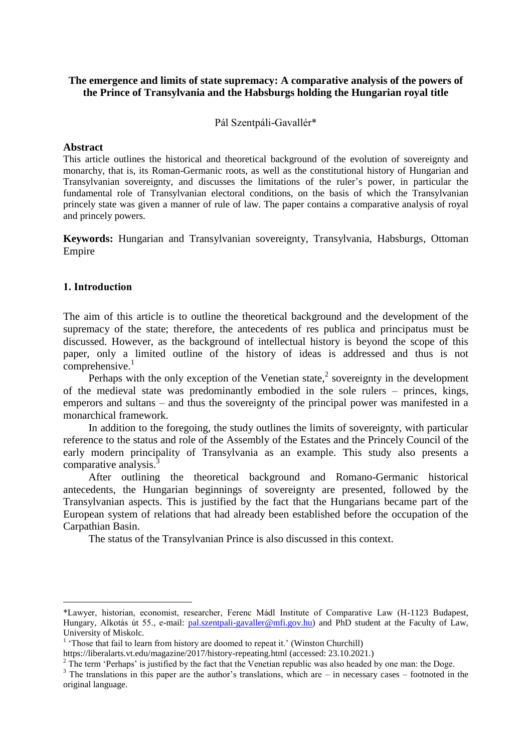# **The emergence and limits of state supremacy: A comparative analysis of the powers of the Prince of Transylvania and the Habsburgs holding the Hungarian royal title**

Pál Szentpáli-Gavallér\*

## **Abstract**

This article outlines the historical and theoretical background of the evolution of sovereignty and monarchy, that is, its Roman-Germanic roots, as well as the constitutional history of Hungarian and Transylvanian sovereignty, and discusses the limitations of the ruler's power, in particular the fundamental role of Transylvanian electoral conditions, on the basis of which the Transylvanian princely state was given a manner of rule of law. The paper contains a comparative analysis of royal and princely powers.

**Keywords:** Hungarian and Transylvanian sovereignty, Transylvania, Habsburgs, Ottoman Empire

## **1. Introduction**

<u>.</u>

The aim of this article is to outline the theoretical background and the development of the supremacy of the state; therefore, the antecedents of res publica and principatus must be discussed. However, as the background of intellectual history is beyond the scope of this paper, only a limited outline of the history of ideas is addressed and thus is not comprehensive.<sup>1</sup>

Perhaps with the only exception of the Venetian state, $\lambda^2$  sovereignty in the development of the medieval state was predominantly embodied in the sole rulers – princes, kings, emperors and sultans – and thus the sovereignty of the principal power was manifested in a monarchical framework.

In addition to the foregoing, the study outlines the limits of sovereignty, with particular reference to the status and role of the Assembly of the Estates and the Princely Council of the early modern principality of Transylvania as an example. This study also presents a comparative analysis.<sup>3</sup>

After outlining the theoretical background and Romano-Germanic historical antecedents, the Hungarian beginnings of sovereignty are presented, followed by the Transylvanian aspects. This is justified by the fact that the Hungarians became part of the European system of relations that had already been established before the occupation of the Carpathian Basin.

The status of the Transylvanian Prince is also discussed in this context.

<sup>\*</sup>Lawyer, historian, economist, researcher, Ferenc Mádl Institute of Comparative Law (H-1123 Budapest, Hungary, Alkotás út 55., e-mail: [pal.szentpali-gavaller@mfi.gov.hu\)](mailto:pal.szentpali-gavaller@mfi.gov.hu) and PhD student at the Faculty of Law, University of Miskolc.

<sup>&</sup>lt;sup>1</sup> 'Those that fail to learn from history are doomed to repeat it.' (Winston Churchill)

https://liberalarts.vt.edu/magazine/2017/history-repeating.html (accessed: 23.10.2021.)

<sup>&</sup>lt;sup>2</sup> The term 'Perhaps' is justified by the fact that the Venetian republic was also headed by one man: the Doge.

 $3$  The translations in this paper are the author's translations, which are – in necessary cases – footnoted in the original language.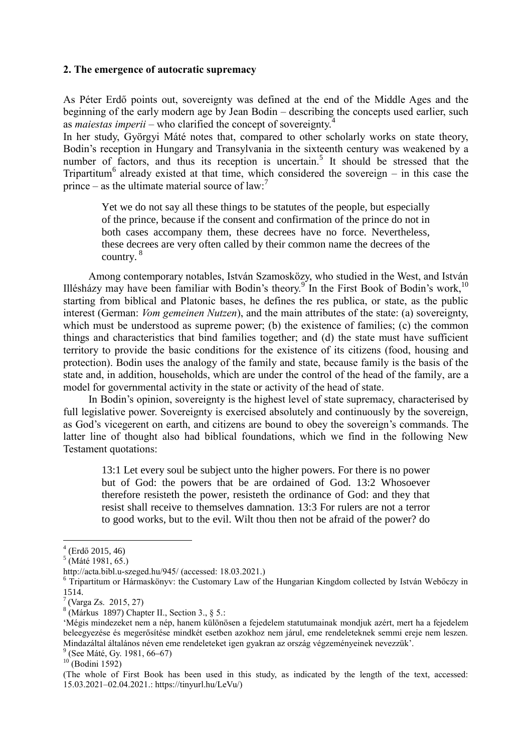## **2. The emergence of autocratic supremacy**

As Péter Erdő points out, sovereignty was defined at the end of the Middle Ages and the beginning of the early modern age by Jean Bodin – describing the concepts used earlier, such as *maiestas imperii* – who clarified the concept of sovereignty.<sup>4</sup>

In her study, Györgyi Máté notes that, compared to other scholarly works on state theory, Bodin's reception in Hungary and Transylvania in the sixteenth century was weakened by a number of factors, and thus its reception is uncertain.<sup>5</sup> It should be stressed that the Tripartitum<sup>6</sup> already existed at that time, which considered the sovereign  $-$  in this case the prince – as the ultimate material source of  $law:$ <sup>7</sup>

Yet we do not say all these things to be statutes of the people, but especially of the prince, because if the consent and confirmation of the prince do not in both cases accompany them, these decrees have no force. Nevertheless, these decrees are very often called by their common name the decrees of the country. 8

Among contemporary notables, István Szamosközy, who studied in the West, and István Illésházy may have been familiar with Bodin's theory.<sup>9</sup> In the First Book of Bodin's work,<sup>10</sup> starting from biblical and Platonic bases, he defines the res publica, or state, as the public interest (German: *Vom gemeinen Nutzen*), and the main attributes of the state: (a) sovereignty, which must be understood as supreme power; (b) the existence of families; (c) the common things and characteristics that bind families together; and (d) the state must have sufficient territory to provide the basic conditions for the existence of its citizens (food, housing and protection). Bodin uses the analogy of the family and state, because family is the basis of the state and, in addition, households, which are under the control of the head of the family, are a model for governmental activity in the state or activity of the head of state.

In Bodin's opinion, sovereignty is the highest level of state supremacy, characterised by full legislative power. Sovereignty is exercised absolutely and continuously by the sovereign, as God's vicegerent on earth, and citizens are bound to obey the sovereign's commands. The latter line of thought also had biblical foundations, which we find in the following New Testament quotations:

13:1 Let every soul be subject unto the higher powers. For there is no power but of God: the powers that be are ordained of God. 13:2 Whosoever therefore resisteth the power, resisteth the ordinance of God: and they that resist shall receive to themselves damnation. 13:3 For rulers are not a terror to good works, but to the evil. Wilt thou then not be afraid of the power? do

 $4$  (Erdő 2015, 46)

<sup>5</sup> (Máté 1981, 65.)

<http://acta.bibl.u-szeged.hu/945/> (accessed: 18.03.2021.)

<sup>&</sup>lt;sup>6</sup> Tripartitum or Hármaskönyv: the Customary Law of the Hungarian Kingdom collected by István Webőczy in 1514.

<sup>7</sup> (Varga Zs. 2015, 27)

<sup>8</sup> (Márkus 1897) Chapter II., Section 3., § 5.:

<sup>&#</sup>x27;Mégis mindezeket nem a nép, hanem különösen a fejedelem statutumainak mondjuk azért, mert ha a fejedelem beleegyezése és megerősítése mindkét esetben azokhoz nem járul, eme rendeleteknek semmi ereje nem leszen. Mindazáltal általános néven eme rendeleteket igen gyakran az ország végzeményeinek nevezzük'.

<sup>9</sup> (See Máté, Gy. 1981, 66–67)

 $10$  (Bodini 1592)

<sup>(</sup>The whole of First Book has been used in this study, as indicated by the length of the text, accessed: 15.03.2021–02.04.2021.: https://tinyurl.hu/LeVu/)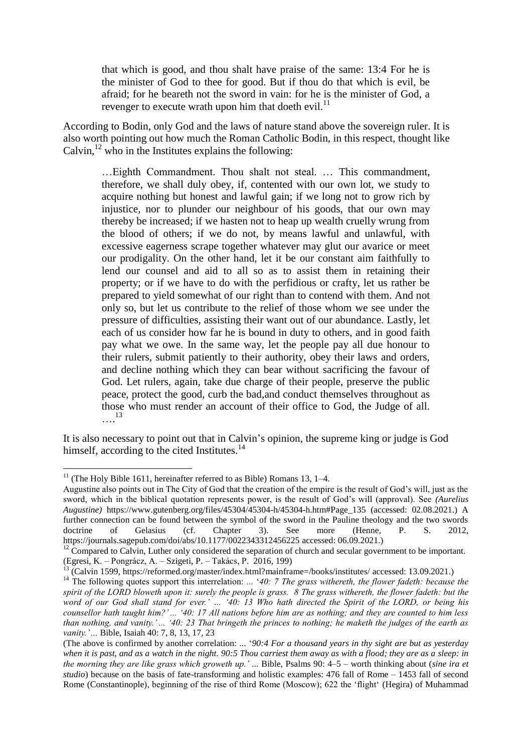that which is good, and thou shalt have praise of the same: 13:4 For he is the minister of God to thee for good. But if thou do that which is evil, be afraid; for he beareth not the sword in vain: for he is the minister of God, a revenger to execute wrath upon him that doeth evil. $^{11}$ 

According to Bodin, only God and the laws of nature stand above the sovereign ruler. It is also worth pointing out how much the Roman Catholic Bodin, in this respect, thought like Calvin, $^{12}$  who in the Institutes explains the following:

…Eighth Commandment. Thou shalt not steal. … This commandment, therefore, we shall duly obey, if, contented with our own lot, we study to acquire nothing but honest and lawful gain; if we long not to grow rich by injustice, nor to plunder our neighbour of his goods, that our own may thereby be increased; if we hasten not to heap up wealth cruelly wrung from the blood of others; if we do not, by means lawful and unlawful, with excessive eagerness scrape together whatever may glut our avarice or meet our prodigality. On the other hand, let it be our constant aim faithfully to lend our counsel and aid to all so as to assist them in retaining their property; or if we have to do with the perfidious or crafty, let us rather be prepared to yield somewhat of our right than to contend with them. And not only so, but let us contribute to the relief of those whom we see under the pressure of difficulties, assisting their want out of our abundance. Lastly, let each of us consider how far he is bound in duty to others, and in good faith pay what we owe. In the same way, let the people pay all due honour to their rulers, submit patiently to their authority, obey their laws and orders, and decline nothing which they can bear without sacrificing the favour of God. Let rulers, again, take due charge of their people, preserve the public peace, protect the good, curb the bad,and conduct themselves throughout as those who must render an account of their office to God, the Judge of all. …. 13

It is also necessary to point out that in Calvin's opinion, the supreme king or judge is God himself, according to the cited Institutes.<sup>14</sup>

<u>.</u>

Augustine also points out in The City of God that the creation of the empire is the result of God's will, just as the sword, which in the biblical quotation represents power, is the result of God's will (approval). See *(Aurelius Augustine)* https://www.gutenberg.org/files/45304/45304-h/45304-h.htm#Page\_135 (accessed: 02.08.2021.) A further connection can be found between the symbol of the sword in the Pauline theology and the two swords doctrine of Gelasius (cf. Chapter 3). See more (Henne, P. S. 2012, https://journals.sagepub.com/doi/abs/10.1177/0022343312456225 accessed: 06.09.2021.)

 $11$  (The Holy Bible 1611, hereinafter referred to as Bible) Romans 13, 1–4.

 $12$  Compared to Calvin, Luther only considered the separation of church and secular government to be important. (Egresi, K. – Pongrácz, A. – Szigeti, P. – Takács, P. 2016, 199)

<sup>&</sup>lt;sup>13</sup> (Calvin 1599, <https://reformed.org/master/index.html?mainframe=/books/institutes/> accessed: 13.09.2021.)

<sup>&</sup>lt;sup>14</sup> The following quotes support this interrelation: ... '40: 7 The grass withereth, the flower fadeth: because the *spirit of the LORD bloweth upon it: surely the people is grass. 8 The grass withereth, the flower fadeth: but the word of our God shall stand for ever.' … '40: 13 Who hath directed the Spirit of the LORD, or being his counsellor hath taught him?' ... '40: 17 All nations before him are as nothing; and they are counted to him less than nothing, and vanity.' ... '40: 23 That bringeth the princes to nothing; he maketh the judges of the earth as vanity.' ...* Bible, Isaiah 40: 7, 8, 13, 17, 23

<sup>(</sup>The above is confirmed by another correlation: *...* '*90:4 For a thousand years in thy sight are but as yesterday when it is past, and as a watch in the night. 90:5 Thou carriest them away as with a flood; they are as a sleep: in the morning they are like grass which groweth up.' ...* Bible, Psalms 90: 4–5 – worth thinking about (*sine ira et studio*) because on the basis of fate-transforming and holistic examples: 476 fall of Rome – 1453 fall of second Rome (Constantinople), beginning of the rise of third Rome (Moscow); 622 the 'flight' (Hegira) of Muhammad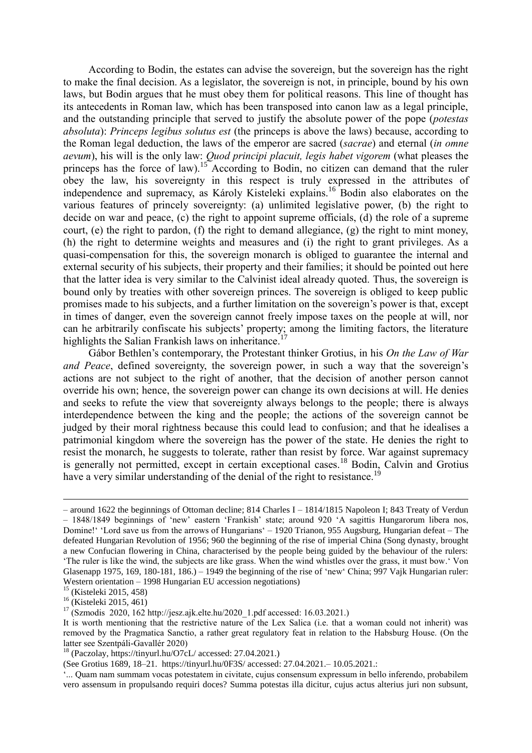According to Bodin, the estates can advise the sovereign, but the sovereign has the right to make the final decision. As a legislator, the sovereign is not, in principle, bound by his own laws, but Bodin argues that he must obey them for political reasons. This line of thought has its antecedents in Roman law, which has been transposed into canon law as a legal principle, and the outstanding principle that served to justify the absolute power of the pope (*potestas absoluta*): *Princeps legibus solutus est* (the princeps is above the laws) because, according to the Roman legal deduction, the laws of the emperor are sacred (*sacrae*) and eternal (*in omne aevum*), his will is the only law: *Quod principi placuit, legis habet vigorem* (what pleases the princeps has the force of law).<sup>15</sup> According to Bodin, no citizen can demand that the ruler obey the law, his sovereignty in this respect is truly expressed in the attributes of independence and supremacy, as Károly Kisteleki explains.<sup>16</sup> Bodin also elaborates on the various features of princely sovereignty: (a) unlimited legislative power, (b) the right to decide on war and peace, (c) the right to appoint supreme officials, (d) the role of a supreme court, (e) the right to pardon, (f) the right to demand allegiance, (g) the right to mint money, (h) the right to determine weights and measures and (i) the right to grant privileges. As a quasi-compensation for this, the sovereign monarch is obliged to guarantee the internal and external security of his subjects, their property and their families; it should be pointed out here that the latter idea is very similar to the Calvinist ideal already quoted. Thus, the sovereign is bound only by treaties with other sovereign princes. The sovereign is obliged to keep public promises made to his subjects, and a further limitation on the sovereign's power is that, except in times of danger, even the sovereign cannot freely impose taxes on the people at will, nor can he arbitrarily confiscate his subjects' property; among the limiting factors, the literature highlights the Salian Frankish laws on inheritance.<sup>17</sup>

Gábor Bethlen's contemporary, the Protestant thinker Grotius, in his *On the Law of War and Peace*, defined sovereignty, the sovereign power, in such a way that the sovereign's actions are not subject to the right of another, that the decision of another person cannot override his own; hence, the sovereign power can change its own decisions at will. He denies and seeks to refute the view that sovereignty always belongs to the people; there is always interdependence between the king and the people; the actions of the sovereign cannot be judged by their moral rightness because this could lead to confusion; and that he idealises a patrimonial kingdom where the sovereign has the power of the state. He denies the right to resist the monarch, he suggests to tolerate, rather than resist by force. War against supremacy is generally not permitted, except in certain exceptional cases.<sup>18</sup> Bodin, Calvin and Grotius have a very similar understanding of the denial of the right to resistance.<sup>19</sup>

 $\overline{a}$ 

<sup>–</sup> around 1622 the beginnings of Ottoman decline; 814 Charles I – 1814/1815 Napoleon I; 843 Treaty of Verdun – 1848/1849 beginnings of 'new' eastern 'Frankish' state; around 920 'A sagittis Hungarorum libera nos, Domine!' 'Lord save us from the arrows of Hungarians' – 1920 Trianon, 955 Augsburg, Hungarian defeat – The defeated Hungarian Revolution of 1956; 960 the beginning of the rise of imperial China (Song dynasty, brought a new Confucian flowering in China, characterised by the people being guided by the behaviour of the rulers: 'The ruler is like the wind, the subjects are like grass. When the wind whistles over the grass, it must bow.' Von Glasenapp 1975, 169, 180-181, 186.) – 1949 the beginning of the rise of 'new' China; 997 Vajk Hungarian ruler: Western orientation – 1998 Hungarian EU accession negotiations)

<sup>&</sup>lt;sup>15</sup> (Kisteleki 2015, 458)

 $16$  (Kisteleki 2015, 461)

 $17$  (Szmodis 2020, 162 http://jesz.ajk.elte.hu/2020 1.pdf accessed: 16.03.2021.)

It is worth mentioning that the restrictive nature of the Lex Salica (i.e. that a woman could not inherit) was removed by the Pragmatica Sanctio, a rather great regulatory feat in relation to the Habsburg House. (On the latter see Szentpáli-Gavallér 2020)

<sup>18</sup> (Paczolay, https://tinyurl.hu/O7cL/ accessed: 27.04.2021.)

<sup>(</sup>See Grotius 1689, 18–21. https://tinyurl.hu/0F3S/ accessed: 27.04.2021.– 10.05.2021.:

<sup>&#</sup>x27;... Quam nam summam vocas potestatem in civitate, cujus consensum expressum in bello inferendo, probabilem vero assensum in propulsando requiri doces? Summa potestas illa dicitur, cujus actus alterius juri non subsunt,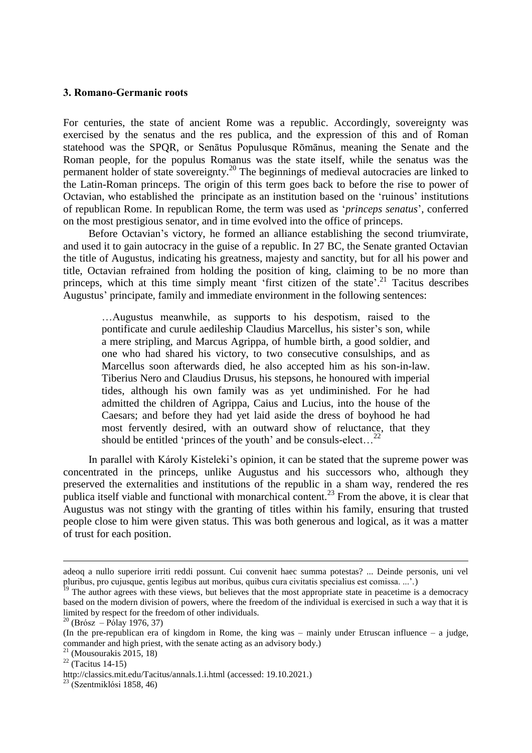## **3. Romano-Germanic roots**

For centuries, the state of ancient Rome was a republic. Accordingly, sovereignty was exercised by the senatus and the res publica, and the expression of this and of Roman statehood was the SPQR, or Senātus Populusque Rōmānus, meaning the Senate and the Roman people, for the populus Romanus was the state itself, while the senatus was the permanent holder of state sovereignty.<sup>20</sup> The beginnings of medieval autocracies are linked to the Latin-Roman princeps. The origin of this term goes back to before the rise to power of Octavian, who established the principate as an institution based on the 'ruinous' institutions of republican Rome. In republican Rome, the term was used as '*princeps senatus*', conferred on the most prestigious senator, and in time evolved into the office of princeps.

Before Octavian's victory, he formed an alliance establishing the second triumvirate, and used it to gain autocracy in the guise of a republic. In 27 BC, the Senate granted Octavian the title of Augustus, indicating his greatness, majesty and sanctity, but for all his power and title, Octavian refrained from holding the position of king, claiming to be no more than princeps, which at this time simply meant 'first citizen of the state'.<sup>21</sup> Tacitus describes Augustus' principate, family and immediate environment in the following sentences:

…Augustus meanwhile, as supports to his despotism, raised to the pontificate and curule aedileship Claudius Marcellus, his sister's son, while a mere stripling, and Marcus Agrippa, of humble birth, a good soldier, and one who had shared his victory, to two consecutive consulships, and as Marcellus soon afterwards died, he also accepted him as his son-in-law. Tiberius Nero and Claudius Drusus, his stepsons, he honoured with imperial tides, although his own family was as yet undiminished. For he had admitted the children of Agrippa, Caius and Lucius, into the house of the Caesars; and before they had yet laid aside the dress of boyhood he had most fervently desired, with an outward show of reluctance, that they should be entitled 'princes of the youth' and be consuls-elect...<sup>22</sup>

In parallel with Károly Kisteleki's opinion, it can be stated that the supreme power was concentrated in the princeps, unlike Augustus and his successors who, although they preserved the externalities and institutions of the republic in a sham way, rendered the res publica itself viable and functional with monarchical content.<sup>23</sup> From the above, it is clear that Augustus was not stingy with the granting of titles within his family, ensuring that trusted people close to him were given status. This was both generous and logical, as it was a matter of trust for each position.

 $\overline{a}$ 

adeoq a nullo superiore irriti reddi possunt. Cui convenit haec summa potestas? ... Deinde personis, uni vel pluribus, pro cujusque, gentis legibus aut moribus, quibus cura civitatis specialius est comissa. ...'.)

<sup>&</sup>lt;sup>19</sup> The author agrees with these views, but believes that the most appropriate state in peacetime is a democracy based on the modern division of powers, where the freedom of the individual is exercised in such a way that it is limited by respect for the freedom of other individuals.

 $^{20}$  (Brósz – Pólay 1976, 37)

<sup>(</sup>In the pre-republican era of kingdom in Rome, the king was – mainly under Etruscan influence – a judge, commander and high priest, with the senate acting as an advisory body.)

 $21$  (Mousourakis 2015, 18)

 $22$  (Tacitus 14-15)

<http://classics.mit.edu/Tacitus/annals.1.i.html> (accessed: 19.10.2021.)

 $23$  (Szentmiklósi 1858, 46)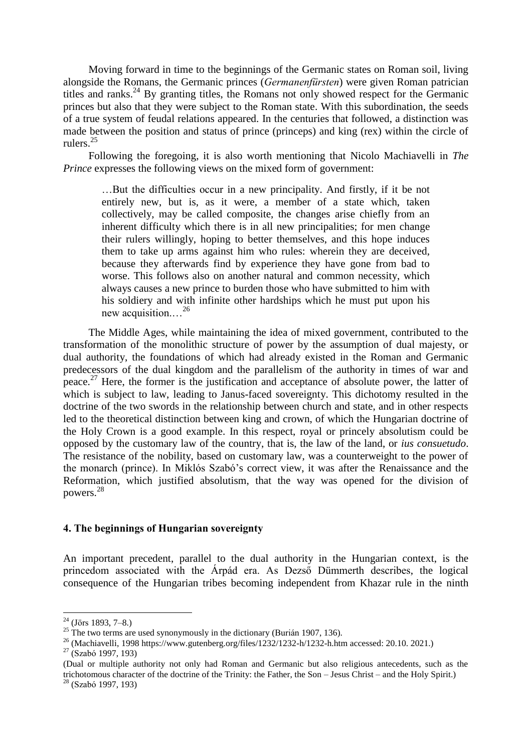Moving forward in time to the beginnings of the Germanic states on Roman soil, living alongside the Romans, the Germanic princes (*Germanenfürsten*) were given Roman patrician titles and ranks. <sup>24</sup> By granting titles, the Romans not only showed respect for the Germanic princes but also that they were subject to the Roman state. With this subordination, the seeds of a true system of feudal relations appeared. In the centuries that followed, a distinction was made between the position and status of prince (princeps) and king (rex) within the circle of rulers.<sup>25</sup>

Following the foregoing, it is also worth mentioning that Nicolo Machiavelli in *The Prince* expresses the following views on the mixed form of government:

…But the difficulties occur in a new principality. And firstly, if it be not entirely new, but is, as it were, a member of a state which, taken collectively, may be called composite, the changes arise chiefly from an inherent difficulty which there is in all new principalities; for men change their rulers willingly, hoping to better themselves, and this hope induces them to take up arms against him who rules: wherein they are deceived, because they afterwards find by experience they have gone from bad to worse. This follows also on another natural and common necessity, which always causes a new prince to burden those who have submitted to him with his soldiery and with infinite other hardships which he must put upon his new acquisition.…<sup>26</sup>

The Middle Ages, while maintaining the idea of mixed government, contributed to the transformation of the monolithic structure of power by the assumption of dual majesty, or dual authority, the foundations of which had already existed in the Roman and Germanic predecessors of the dual kingdom and the parallelism of the authority in times of war and peace.<sup>27</sup> Here, the former is the justification and acceptance of absolute power, the latter of which is subject to law, leading to Janus-faced sovereignty. This dichotomy resulted in the doctrine of the two swords in the relationship between church and state, and in other respects led to the theoretical distinction between king and crown, of which the Hungarian doctrine of the Holy Crown is a good example. In this respect, royal or princely absolutism could be opposed by the customary law of the country, that is, the law of the land, or *ius consuetudo*. The resistance of the nobility, based on customary law, was a counterweight to the power of the monarch (prince). In Miklós Szabó's correct view, it was after the Renaissance and the Reformation, which justified absolutism, that the way was opened for the division of powers. 28

# **4. The beginnings of Hungarian sovereignty**

An important precedent, parallel to the dual authority in the Hungarian context, is the princedom associated with the Árpád era. As Dezső Dümmerth describes, the logical consequence of the Hungarian tribes becoming independent from Khazar rule in the ninth

 $24$  (Jörs 1893, 7–8.)

<sup>&</sup>lt;sup>25</sup> The two terms are used synonymously in the dictionary (Burián 1907, 136).

 $^{26}$  (Machiavelli, 1998 https://www.gutenberg.org/files/1232/1232-h/1232-h.htm accessed: 20.10. 2021.)

 $27$  (Szabó 1997, 193)

<sup>(</sup>Dual or multiple authority not only had Roman and Germanic but also religious antecedents, such as the trichotomous character of the doctrine of the Trinity: the Father, the Son – Jesus Christ – and the Holy Spirit.) <sup>28</sup> (Szabó 1997, 193)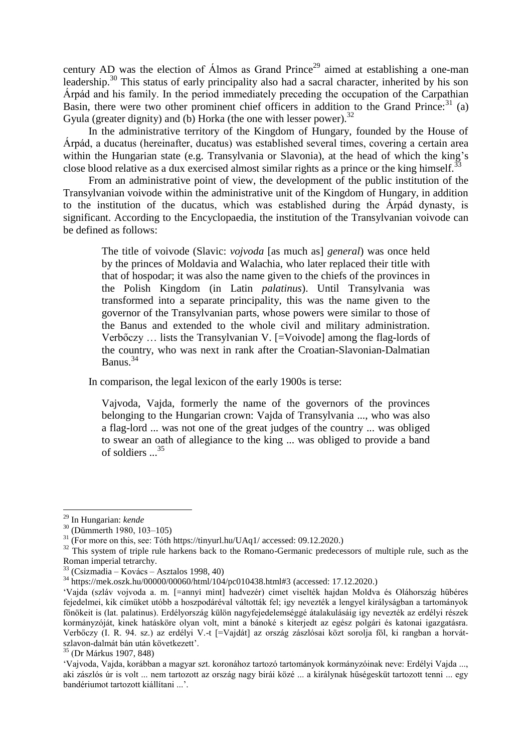century AD was the election of Álmos as Grand Prince<sup>29</sup> aimed at establishing a one-man leadership.<sup>30</sup> This status of early principality also had a sacral character, inherited by his son Árpád and his family. In the period immediately preceding the occupation of the Carpathian Basin, there were two other prominent chief officers in addition to the Grand Prince: $31$  (a) Gyula (greater dignity) and (b) Horka (the one with lesser power).<sup>32</sup>

In the administrative territory of the Kingdom of Hungary, founded by the House of Árpád, a ducatus (hereinafter, ducatus) was established several times, covering a certain area within the Hungarian state (e.g. Transylvania or Slavonia), at the head of which the king's close blood relative as a dux exercised almost similar rights as a prince or the king himself.<sup>33</sup>

From an administrative point of view, the development of the public institution of the Transylvanian voivode within the administrative unit of the Kingdom of Hungary, in addition to the institution of the ducatus, which was established during the Árpád dynasty, is significant. According to the Encyclopaedia, the institution of the Transylvanian voivode can be defined as follows:

The title of voivode (Slavic: *vojvoda* [as much as] *general*) was once held by the princes of Moldavia and Walachia, who later replaced their title with that of hospodar; it was also the name given to the chiefs of the provinces in the Polish Kingdom (in Latin *palatinus*). Until Transylvania was transformed into a separate principality, this was the name given to the governor of the Transylvanian parts, whose powers were similar to those of the Banus and extended to the whole civil and military administration. Verbőczy … lists the Transylvanian V. [=Voivode] among the flag-lords of the country, who was next in rank after the Croatian-Slavonian-Dalmatian Banus. 34

In comparison, the legal lexicon of the early 1900s is terse:

Vajvoda, Vajda, formerly the name of the governors of the provinces belonging to the Hungarian crown: Vajda of Transylvania ..., who was also a flag-lord ... was not one of the great judges of the country ... was obliged to swear an oath of allegiance to the king ... was obliged to provide a band of soldiers ... 35

<sup>29</sup> In Hungarian: *kende*

<sup>30</sup> (Dümmerth 1980, 103–105)

 $31$  (For more on this, see: Tóth https://tinyurl.hu/UAq1/ accessed: 09.12.2020.)

 $32$  This system of triple rule harkens back to the Romano-Germanic predecessors of multiple rule, such as the Roman imperial tetrarchy.

 $33$  (Csizmadia – Kovács – Asztalos 1998, 40)

<sup>34</sup> https://mek.oszk.hu/00000/00060/html/104/pc010438.html#3 (accessed: 17.12.2020.)

<sup>&#</sup>x27;Vajda (szláv vojvoda a. m. [=annyi mint] hadvezér) címet viselték hajdan Moldva és Oláhország hübéres fejedelmei, kik címüket utóbb a hoszpodáréval váltották fel; igy nevezték a lengyel királyságban a tartományok főnökeit is (lat. palatinus). Erdélyország külön nagyfejedelemséggé átalakulásáig igy nevezték az erdélyi részek kormányzóját, kinek hatásköre olyan volt, mint a bánoké s kiterjedt az egész polgári és katonai igazgatásra. Verbőczy (I. R. 94. sz.) az erdélyi V.-t [=Vajdát] az ország zászlósai közt sorolja föl, ki rangban a horvátszlavon-dalmát bán után következett'.

<sup>35</sup> (Dr Márkus 1907, 848)

<sup>&#</sup>x27;Vajvoda, Vajda, korábban a magyar szt. koronához tartozó tartományok kormányzóinak neve: Erdélyi Vajda ..., aki zászlós úr is volt ... nem tartozott az ország nagy birái közé ... a királynak hűségesküt tartozott tenni ... egy bandériumot tartozott kiállítani ...'.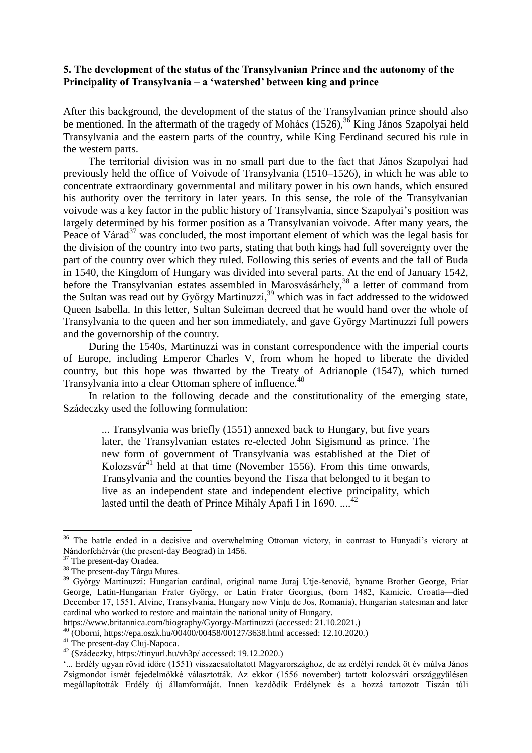# **5. The development of the status of the Transylvanian Prince and the autonomy of the Principality of Transylvania – a 'watershed' between king and prince**

After this background, the development of the status of the Transylvanian prince should also be mentioned. In the aftermath of the tragedy of Mohács (1526),<sup>36</sup> King János Szapolyai held Transylvania and the eastern parts of the country, while King Ferdinand secured his rule in the western parts.

The territorial division was in no small part due to the fact that János Szapolyai had previously held the office of Voivode of Transylvania (1510–1526), in which he was able to concentrate extraordinary governmental and military power in his own hands, which ensured his authority over the territory in later years. In this sense, the role of the Transylvanian voivode was a key factor in the public history of Transylvania, since Szapolyai's position was largely determined by his former position as a Transylvanian voivode. After many years, the Peace of Várad $37$  was concluded, the most important element of which was the legal basis for the division of the country into two parts, stating that both kings had full sovereignty over the part of the country over which they ruled. Following this series of events and the fall of Buda in 1540, the Kingdom of Hungary was divided into several parts. At the end of January 1542, before the Transylvanian estates assembled in Marosvásárhely,<sup>38</sup> a letter of command from the Sultan was read out by György Martinuzzi, <sup>39</sup> which was in fact addressed to the widowed Queen Isabella. In this letter, Sultan Suleiman decreed that he would hand over the whole of Transylvania to the queen and her son immediately, and gave György Martinuzzi full powers and the governorship of the country.

During the 1540s, Martinuzzi was in constant correspondence with the imperial courts of Europe, including Emperor Charles V, from whom he hoped to liberate the divided country, but this hope was thwarted by the Treaty of Adrianople (1547), which turned Transylvania into a clear Ottoman sphere of influence.<sup>40</sup>

In relation to the following decade and the constitutionality of the emerging state, Szádeczky used the following formulation:

... Transylvania was briefly (1551) annexed back to Hungary, but five years later, the Transylvanian estates re-elected John Sigismund as prince. The new form of government of Transylvania was established at the Diet of Kolozsvár $41$  held at that time (November 1556). From this time onwards, Transylvania and the counties beyond the Tisza that belonged to it began to live as an independent state and independent elective principality, which lasted until the death of Prince Mihály Apafi I in 1690. ....<sup>42</sup>

<sup>&</sup>lt;sup>36</sup> The battle ended in a decisive and overwhelming Ottoman victory, in contrast to Hunyadi's victory at Nándorfehérvár (the present-day Beograd) in 1456.

<sup>&</sup>lt;sup>37</sup> The present-day Oradea.

<sup>38</sup> The present-day Târgu Mures.

<sup>39</sup> György Martinuzzi: Hungarian cardinal, original name Juraj Utje-šenović, byname Brother George, Friar George, Latin-Hungarian Frater György, or Latin Frater Georgius, (born 1482, Kamicic, Croatia—died December 17, 1551, Alvinc, Transylvania, Hungary now Vințu de Jos, Romania), Hungarian statesman and later cardinal who worked to restore and maintain the national unity of Hungary.

https://www.britannica.com/biography/Gyorgy-Martinuzzi (accessed: 21.10.2021.)

<sup>&</sup>lt;sup>6</sup> (Oborni, https://epa.oszk.hu/00400/00458/00127/3638.html accessed: 12.10.2020.)

<sup>&</sup>lt;sup>41</sup> The present-day Cluj-Napoca.

<sup>42</sup> (Szádeczky, https://tinyurl.hu/vh3p/ accessed: 19.12.2020.)

<sup>&#</sup>x27;... Erdély ugyan rövid időre (1551) visszacsatoltatott Magyarországhoz, de az erdélyi rendek öt év múlva János Zsigmondot ismét fejedelmökké választották. Az ekkor (1556 november) tartott kolozsvári országgyűlésen megállapították Erdély új államformáját. Innen kezdődik Erdélynek és a hozzá tartozott Tiszán túli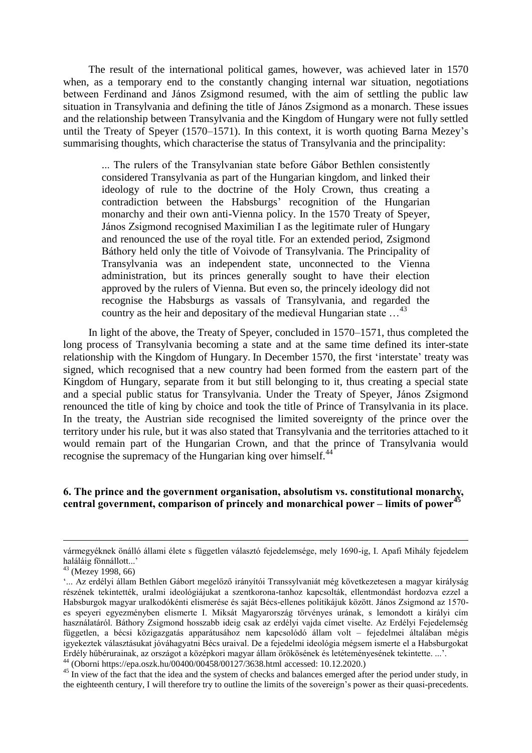The result of the international political games, however, was achieved later in 1570 when, as a temporary end to the constantly changing internal war situation, negotiations between Ferdinand and János Zsigmond resumed, with the aim of settling the public law situation in Transylvania and defining the title of János Zsigmond as a monarch. These issues and the relationship between Transylvania and the Kingdom of Hungary were not fully settled until the Treaty of Speyer (1570–1571). In this context, it is worth quoting Barna Mezey's summarising thoughts, which characterise the status of Transylvania and the principality:

... The rulers of the Transylvanian state before Gábor Bethlen consistently considered Transylvania as part of the Hungarian kingdom, and linked their ideology of rule to the doctrine of the Holy Crown, thus creating a contradiction between the Habsburgs' recognition of the Hungarian monarchy and their own anti-Vienna policy. In the 1570 Treaty of Speyer, János Zsigmond recognised Maximilian I as the legitimate ruler of Hungary and renounced the use of the royal title. For an extended period, Zsigmond Báthory held only the title of Voivode of Transylvania. The Principality of Transylvania was an independent state, unconnected to the Vienna administration, but its princes generally sought to have their election approved by the rulers of Vienna. But even so, the princely ideology did not recognise the Habsburgs as vassals of Transylvania, and regarded the country as the heir and depositary of the medieval Hungarian state …<sup>43</sup>

In light of the above, the Treaty of Speyer, concluded in 1570–1571, thus completed the long process of Transylvania becoming a state and at the same time defined its inter-state relationship with the Kingdom of Hungary. In December 1570, the first 'interstate' treaty was signed, which recognised that a new country had been formed from the eastern part of the Kingdom of Hungary, separate from it but still belonging to it, thus creating a special state and a special public status for Transylvania. Under the Treaty of Speyer, János Zsigmond renounced the title of king by choice and took the title of Prince of Transylvania in its place. In the treaty, the Austrian side recognised the limited sovereignty of the prince over the territory under his rule, but it was also stated that Transylvania and the territories attached to it would remain part of the Hungarian Crown, and that the prince of Transylvania would recognise the supremacy of the Hungarian king over himself.<sup>44</sup>

# **6. The prince and the government organisation, absolutism vs. constitutional monarchy, central government, comparison of princely and monarchical power – limits of power<sup>45</sup>**

vármegyéknek önálló állami élete s független választó fejedelemsége, mely 1690-ig, I. Apafi Mihály fejedelem haláláig fönnállott...'

 $43$  (Mezey 1998, 66)

<sup>&#</sup>x27;... Az erdélyi állam Bethlen Gábort megelőző irányítói Transsylvaniát még következetesen a magyar királyság részének tekintették, uralmi ideológiájukat a szentkorona-tanhoz kapcsolták, ellentmondást hordozva ezzel a Habsburgok magyar uralkodókénti elismerése és saját Bécs-ellenes politikájuk között. János Zsigmond az 1570 es speyeri egyezményben elismerte I. Miksát Magyarország törvényes urának, s lemondott a királyi cím használatáról. Báthory Zsigmond hosszabb ideig csak az erdélyi vajda címet viselte. Az Erdélyi Fejedelemség független, a bécsi közigazgatás apparátusához nem kapcsolódó állam volt – fejedelmei általában mégis igyekeztek választásukat jóváhagyatni Bécs uraival. De a fejedelmi ideológia mégsem ismerte el a Habsburgokat Erdély hűbérurainak, az országot a középkori magyar állam örökösének és letéteményesének tekintette. ...'.

<sup>44</sup> (Oborni https://epa.oszk.hu/00400/00458/00127/3638.html accessed: 10.12.2020.)

<sup>&</sup>lt;sup>45</sup> In view of the fact that the idea and the system of checks and balances emerged after the period under study, in the eighteenth century, I will therefore try to outline the limits of the sovereign's power as their quasi-precedents.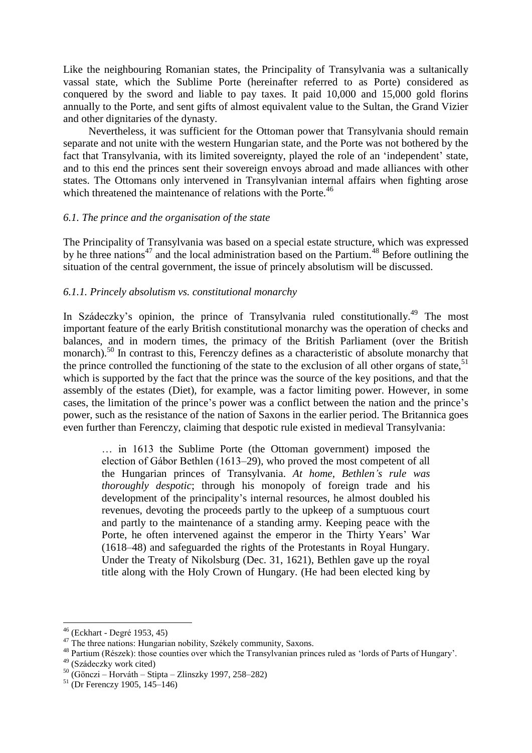Like the neighbouring Romanian states, the Principality of Transylvania was a sultanically vassal state, which the Sublime Porte (hereinafter referred to as Porte) considered as conquered by the sword and liable to pay taxes. It paid 10,000 and 15,000 gold florins annually to the Porte, and sent gifts of almost equivalent value to the Sultan, the Grand Vizier and other dignitaries of the dynasty.

Nevertheless, it was sufficient for the Ottoman power that Transylvania should remain separate and not unite with the western Hungarian state, and the Porte was not bothered by the fact that Transylvania, with its limited sovereignty, played the role of an 'independent' state, and to this end the princes sent their sovereign envoys abroad and made alliances with other states. The Ottomans only intervened in Transylvanian internal affairs when fighting arose which threatened the maintenance of relations with the Porte.<sup>46</sup>

## *6.1. The prince and the organisation of the state*

The Principality of Transylvania was based on a special estate structure, which was expressed by he three nations<sup>47</sup> and the local administration based on the Partium.<sup>48</sup> Before outlining the situation of the central government, the issue of princely absolutism will be discussed.

## *6.1.1. Princely absolutism vs. constitutional monarchy*

In Szádeczky's opinion, the prince of Transylvania ruled constitutionally.<sup>49</sup> The most important feature of the early British constitutional monarchy was the operation of checks and balances, and in modern times, the primacy of the British Parliament (over the British monarch).<sup>50</sup> In contrast to this, Ferenczy defines as a characteristic of absolute monarchy that the prince controlled the functioning of the state to the exclusion of all other organs of state,  $51$ which is supported by the fact that the prince was the source of the key positions, and that the assembly of the estates (Diet), for example, was a factor limiting power. However, in some cases, the limitation of the prince's power was a conflict between the nation and the prince's power, such as the resistance of the nation of Saxons in the earlier period. The Britannica goes even further than Ferenczy, claiming that despotic rule existed in medieval Transylvania:

… in 1613 the Sublime Porte (the Ottoman government) imposed the election of Gábor Bethlen (1613–29), who proved the most competent of all the Hungarian princes of Transylvania. *At home, Bethlen's rule was thoroughly despotic*; through his monopoly of foreign trade and his development of the principality's internal resources, he almost doubled his revenues, devoting the proceeds partly to the upkeep of a sumptuous court and partly to the maintenance of a standing army. Keeping peace with the Porte, he often intervened against the emperor in the Thirty Years' War (1618–48) and safeguarded the rights of the Protestants in Royal Hungary. Under the Treaty of Nikolsburg (Dec. 31, 1621), Bethlen gave up the royal title along with the Holy Crown of Hungary. (He had been elected king by

<sup>46</sup> (Eckhart - Degré 1953, 45)

<sup>&</sup>lt;sup>47</sup> The three nations: Hungarian nobility, Székely community, Saxons.

<sup>48</sup> Partium (Részek): those counties over which the Transylvanian princes ruled as 'lords of Parts of Hungary'.

<sup>&</sup>lt;sup>49</sup> (Szádeczky work cited)

 $50$  (Gönczi – Horváth – Stipta – Zlinszky 1997, 258–282)

 $51$  (Dr Ferenczy 1905, 145–146)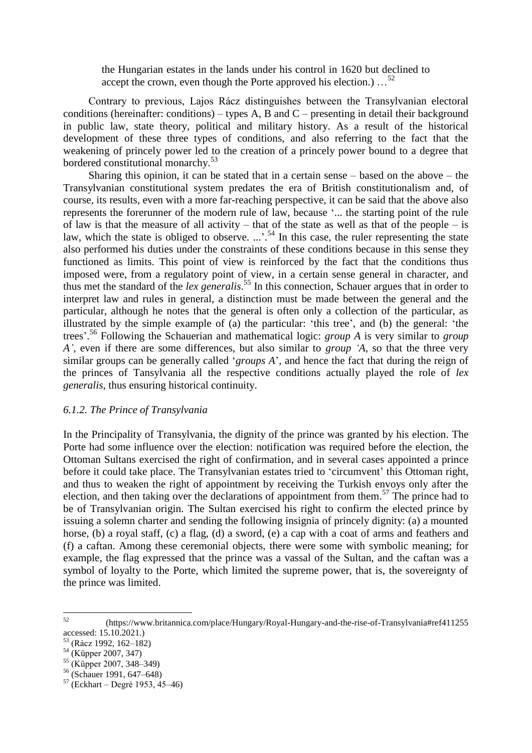the Hungarian estates in the lands under his control in 1620 but declined to accept the crown, even though the Porte approved his election.)  $\ldots$ <sup>52</sup>

Contrary to previous, Lajos Rácz distinguishes between the Transylvanian electoral conditions (hereinafter: conditions) – types A, B and  $C$  – presenting in detail their background in public law, state theory, political and military history. As a result of the historical development of these three types of conditions, and also referring to the fact that the weakening of princely power led to the creation of a princely power bound to a degree that bordered constitutional monarchy.<sup>53</sup>

Sharing this opinion, it can be stated that in a certain sense – based on the above – the Transylvanian constitutional system predates the era of British constitutionalism and, of course, its results, even with a more far-reaching perspective, it can be said that the above also represents the forerunner of the modern rule of law, because '... the starting point of the rule of law is that the measure of all activity – that of the state as well as that of the people – is law, which the state is obliged to observe. ...'.<sup>54</sup> In this case, the ruler representing the state also performed his duties under the constraints of these conditions because in this sense they functioned as limits. This point of view is reinforced by the fact that the conditions thus imposed were, from a regulatory point of view, in a certain sense general in character, and thus met the standard of the *lex generalis*. <sup>55</sup> In this connection, Schauer argues that in order to interpret law and rules in general, a distinction must be made between the general and the particular, although he notes that the general is often only a collection of the particular, as illustrated by the simple example of (a) the particular: 'this tree', and (b) the general: 'the trees'. <sup>56</sup> Following the Schauerian and mathematical logic: *group A* is very similar to *group A'*, even if there are some differences, but also similar to *group 'A*, so that the three very similar groups can be generally called '*groups A*', and hence the fact that during the reign of the princes of Tansylvania all the respective conditions actually played the role of *lex generalis*, thus ensuring historical continuity.

# *6.1.2. The Prince of Transylvania*

In the Principality of Transylvania, the dignity of the prince was granted by his election. The Porte had some influence over the election: notification was required before the election, the Ottoman Sultans exercised the right of confirmation, and in several cases appointed a prince before it could take place. The Transylvanian estates tried to 'circumvent' this Ottoman right, and thus to weaken the right of appointment by receiving the Turkish envoys only after the election, and then taking over the declarations of appointment from them.<sup>57</sup> The prince had to be of Transylvanian origin. The Sultan exercised his right to confirm the elected prince by issuing a solemn charter and sending the following insignia of princely dignity: (a) a mounted horse, (b) a royal staff, (c) a flag, (d) a sword, (e) a cap with a coat of arms and feathers and (f) a caftan. Among these ceremonial objects, there were some with symbolic meaning; for example, the flag expressed that the prince was a vassal of the Sultan, and the caftan was a symbol of loyalty to the Porte, which limited the supreme power, that is, the sovereignty of the prince was limited.

 $52$ <sup>52</sup> (https://www.britannica.com/place/Hungary/Royal-Hungary-and-the-rise-of-Transylvania#ref411255 accessed: 15.10.2021.)

<sup>53</sup> (Rácz 1992, 162–182)

<sup>54 (</sup>Küpper 2007, 347)

<sup>55</sup> (Küpper 2007, 348–349)

<sup>56</sup> (Schauer 1991, 647–648)

 $57$  (Eckhart – Degré 1953, 45–46)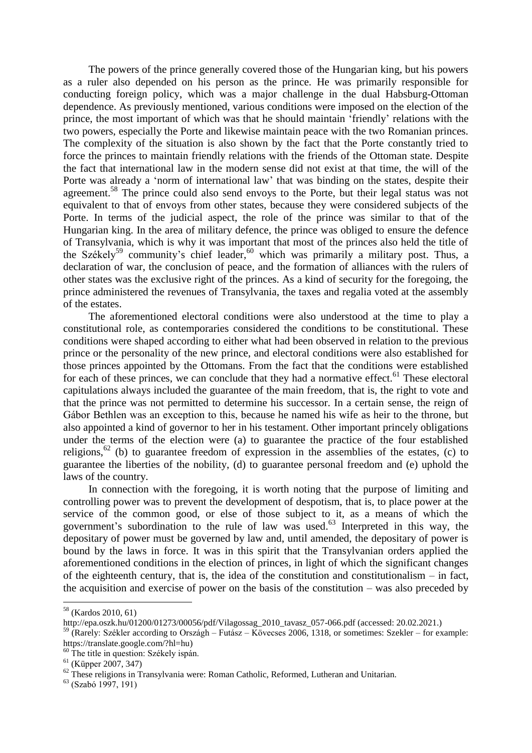The powers of the prince generally covered those of the Hungarian king, but his powers as a ruler also depended on his person as the prince. He was primarily responsible for conducting foreign policy, which was a major challenge in the dual Habsburg-Ottoman dependence. As previously mentioned, various conditions were imposed on the election of the prince, the most important of which was that he should maintain 'friendly' relations with the two powers, especially the Porte and likewise maintain peace with the two Romanian princes. The complexity of the situation is also shown by the fact that the Porte constantly tried to force the princes to maintain friendly relations with the friends of the Ottoman state. Despite the fact that international law in the modern sense did not exist at that time, the will of the Porte was already a 'norm of international law' that was binding on the states, despite their agreement.<sup>58</sup> The prince could also send envoys to the Porte, but their legal status was not equivalent to that of envoys from other states, because they were considered subjects of the Porte. In terms of the judicial aspect, the role of the prince was similar to that of the Hungarian king. In the area of military defence, the prince was obliged to ensure the defence of Transylvania, which is why it was important that most of the princes also held the title of the Székely<sup>59</sup> community's chief leader,<sup>60</sup> which was primarily a military post. Thus, a declaration of war, the conclusion of peace, and the formation of alliances with the rulers of other states was the exclusive right of the princes. As a kind of security for the foregoing, the prince administered the revenues of Transylvania, the taxes and regalia voted at the assembly of the estates.

The aforementioned electoral conditions were also understood at the time to play a constitutional role, as contemporaries considered the conditions to be constitutional. These conditions were shaped according to either what had been observed in relation to the previous prince or the personality of the new prince, and electoral conditions were also established for those princes appointed by the Ottomans. From the fact that the conditions were established for each of these princes, we can conclude that they had a normative effect.<sup>61</sup> These electoral capitulations always included the guarantee of the main freedom, that is, the right to vote and that the prince was not permitted to determine his successor. In a certain sense, the reign of Gábor Bethlen was an exception to this, because he named his wife as heir to the throne, but also appointed a kind of governor to her in his testament. Other important princely obligations under the terms of the election were (a) to guarantee the practice of the four established religions,<sup>62</sup> (b) to guarantee freedom of expression in the assemblies of the estates, (c) to guarantee the liberties of the nobility, (d) to guarantee personal freedom and (e) uphold the laws of the country.

In connection with the foregoing, it is worth noting that the purpose of limiting and controlling power was to prevent the development of despotism, that is, to place power at the service of the common good, or else of those subject to it, as a means of which the government's subordination to the rule of law was used. <sup>63</sup> Interpreted in this way, the depositary of power must be governed by law and, until amended, the depositary of power is bound by the laws in force. It was in this spirit that the Transylvanian orders applied the aforementioned conditions in the election of princes, in light of which the significant changes of the eighteenth century, that is, the idea of the constitution and constitutionalism – in fact, the acquisition and exercise of power on the basis of the constitution – was also preceded by

<sup>58</sup> (Kardos 2010, 61)

http://epa.oszk.hu/01200/01273/00056/pdf/Vilagossag\_2010\_tavasz\_057-066.pdf (accessed: 20.02.2021.)

<sup>59</sup> (Rarely: Székler according to Országh – Futász – Kövecses 2006, 1318, or sometimes: Szekler – for example: https://translate.google.com/?hl=hu)

 $60$  The title in question: Székely ispán.

<sup>61</sup> (Küpper 2007, 347)

<sup>&</sup>lt;sup>62</sup> These religions in Transylvania were: Roman Catholic, Reformed, Lutheran and Unitarian.

 $63$  (Szabó 1997, 191)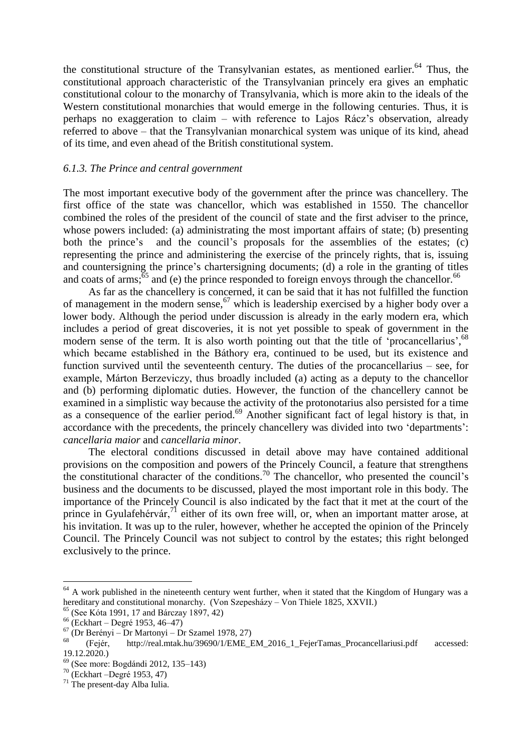the constitutional structure of the Transylvanian estates, as mentioned earlier.<sup>64</sup> Thus, the constitutional approach characteristic of the Transylvanian princely era gives an emphatic constitutional colour to the monarchy of Transylvania, which is more akin to the ideals of the Western constitutional monarchies that would emerge in the following centuries. Thus, it is perhaps no exaggeration to claim – with reference to Lajos Rácz's observation, already referred to above – that the Transylvanian monarchical system was unique of its kind, ahead of its time, and even ahead of the British constitutional system.

### *6.1.3. The Prince and central government*

The most important executive body of the government after the prince was chancellery. The first office of the state was chancellor, which was established in 1550. The chancellor combined the roles of the president of the council of state and the first adviser to the prince, whose powers included: (a) administrating the most important affairs of state; (b) presenting both the prince's and the council's proposals for the assemblies of the estates; (c) representing the prince and administering the exercise of the princely rights, that is, issuing and countersigning the prince's chartersigning documents; (d) a role in the granting of titles and coats of  $\arccos_5$ <sup>55</sup> and (e) the prince responded to foreign envoys through the chancellor.<sup>66</sup>

As far as the chancellery is concerned, it can be said that it has not fulfilled the function of management in the modern sense,<sup>67</sup> which is leadership exercised by a higher body over a lower body. Although the period under discussion is already in the early modern era, which includes a period of great discoveries, it is not yet possible to speak of government in the modern sense of the term. It is also worth pointing out that the title of 'procancellarius',<sup>68</sup> which became established in the Báthory era, continued to be used, but its existence and function survived until the seventeenth century. The duties of the procancellarius – see, for example, Márton Berzeviczy, thus broadly included (a) acting as a deputy to the chancellor and (b) performing diplomatic duties. However, the function of the chancellery cannot be examined in a simplistic way because the activity of the protonotarius also persisted for a time as a consequence of the earlier period.<sup>69</sup> Another significant fact of legal history is that, in accordance with the precedents, the princely chancellery was divided into two 'departments': *cancellaria maior* and *cancellaria minor*.

The electoral conditions discussed in detail above may have contained additional provisions on the composition and powers of the Princely Council, a feature that strengthens the constitutional character of the conditions.<sup>70</sup> The chancellor, who presented the council's business and the documents to be discussed, played the most important role in this body. The importance of the Princely Council is also indicated by the fact that it met at the court of the prince in Gyulafehérvár, $^{71}$  either of its own free will, or, when an important matter arose, at his invitation. It was up to the ruler, however, whether he accepted the opinion of the Princely Council. The Princely Council was not subject to control by the estates; this right belonged exclusively to the prince.

<sup>&</sup>lt;sup>64</sup> A work published in the nineteenth century went further, when it stated that the Kingdom of Hungary was a hereditary and constitutional monarchy. (Von Szepesházy – Von Thiele 1825, XXVII.)

 $65$  (See Kóta 1991, 17 and Bárczay 1897, 42)

 $66$  (Eckhart – Degré 1953, 46–47)

 $^{67}$  (Dr Berényi – Dr Martonyi – Dr Szamel 1978, 27)

<sup>68</sup> (Fejér, http://real.mtak.hu/39690/1/EME\_EM\_2016\_1\_FejerTamas\_Procancellariusi.pdf accessed: 19.12.2020.)

<sup>69</sup> (See more: Bogdándi 2012, 135–143)

 $70$  (Eckhart –Degré 1953, 47)

 $71$  The present-day Alba Iulia.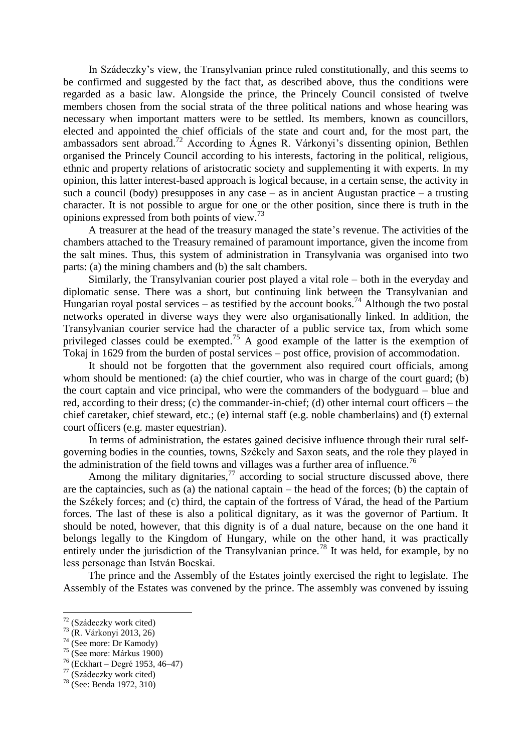In Szádeczky's view, the Transylvanian prince ruled constitutionally, and this seems to be confirmed and suggested by the fact that, as described above, thus the conditions were regarded as a basic law. Alongside the prince, the Princely Council consisted of twelve members chosen from the social strata of the three political nations and whose hearing was necessary when important matters were to be settled. Its members, known as councillors, elected and appointed the chief officials of the state and court and, for the most part, the ambassadors sent abroad.<sup>72</sup> According to Ágnes R. Várkonyi's dissenting opinion, Bethlen organised the Princely Council according to his interests, factoring in the political, religious, ethnic and property relations of aristocratic society and supplementing it with experts. In my opinion, this latter interest-based approach is logical because, in a certain sense, the activity in such a council (body) presupposes in any case – as in ancient Augustan practice – a trusting character. It is not possible to argue for one or the other position, since there is truth in the opinions expressed from both points of view.<sup>73</sup>

A treasurer at the head of the treasury managed the state's revenue. The activities of the chambers attached to the Treasury remained of paramount importance, given the income from the salt mines. Thus, this system of administration in Transylvania was organised into two parts: (a) the mining chambers and (b) the salt chambers.

Similarly, the Transylvanian courier post played a vital role – both in the everyday and diplomatic sense. There was a short, but continuing link between the Transylvanian and Hungarian royal postal services – as testified by the account books.<sup>74</sup> Although the two postal networks operated in diverse ways they were also organisationally linked. In addition, the Transylvanian courier service had the character of a public service tax, from which some privileged classes could be exempted.<sup>75</sup> A good example of the latter is the exemption of Tokaj in 1629 from the burden of postal services – post office, provision of accommodation.

It should not be forgotten that the government also required court officials, among whom should be mentioned: (a) the chief courtier, who was in charge of the court guard; (b) the court captain and vice principal, who were the commanders of the bodyguard – blue and red, according to their dress; (c) the commander-in-chief; (d) other internal court officers – the chief caretaker, chief steward, etc.; (e) internal staff (e.g. noble chamberlains) and (f) external court officers (e.g. master equestrian).

In terms of administration, the estates gained decisive influence through their rural selfgoverning bodies in the counties, towns, Székely and Saxon seats, and the role they played in the administration of the field towns and villages was a further area of influence.<sup>76</sup>

Among the military dignitaries,<sup>77</sup> according to social structure discussed above, there are the captaincies, such as (a) the national captain – the head of the forces; (b) the captain of the Székely forces; and (c) third, the captain of the fortress of Várad, the head of the Partium forces. The last of these is also a political dignitary, as it was the governor of Partium. It should be noted, however, that this dignity is of a dual nature, because on the one hand it belongs legally to the Kingdom of Hungary, while on the other hand, it was practically entirely under the jurisdiction of the Transylvanian prince.<sup>78</sup> It was held, for example, by no less personage than István Bocskai.

The prince and the Assembly of the Estates jointly exercised the right to legislate. The Assembly of the Estates was convened by the prince. The assembly was convened by issuing

 $72$  (Szádeczky work cited)

<sup>73</sup> (R. Várkonyi 2013, 26)

 $74$  (See more: Dr Kamody)

<sup>75</sup> (See more: Márkus 1900)

<sup>76</sup> (Eckhart – Degré 1953, 46–47)

 $77$  (Szádeczky work cited)

<sup>78</sup> (See: Benda 1972, 310)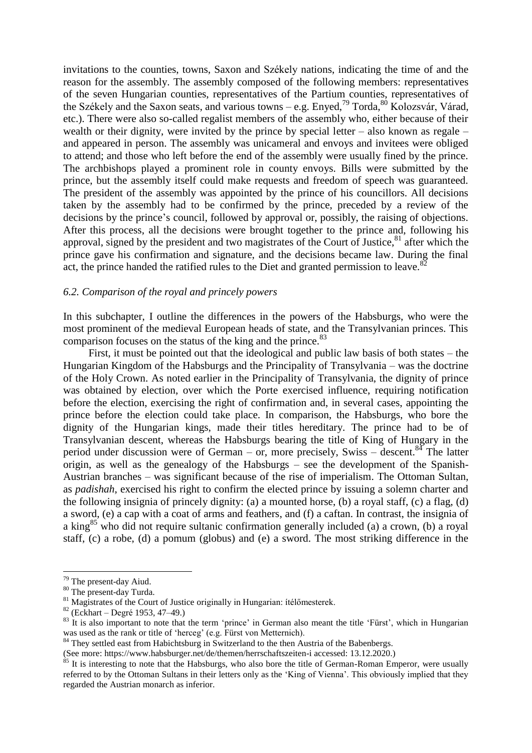invitations to the counties, towns, Saxon and Székely nations, indicating the time of and the reason for the assembly. The assembly composed of the following members: representatives of the seven Hungarian counties, representatives of the Partium counties, representatives of the Székely and the Saxon seats, and various towns – e.g. Enyed,<sup>79</sup> Torda,<sup>80</sup> Kolozsvár, Várad, etc.). There were also so-called regalist members of the assembly who, either because of their wealth or their dignity, were invited by the prince by special letter – also known as regale – and appeared in person. The assembly was unicameral and envoys and invitees were obliged to attend; and those who left before the end of the assembly were usually fined by the prince. The archbishops played a prominent role in county envoys. Bills were submitted by the prince, but the assembly itself could make requests and freedom of speech was guaranteed. The president of the assembly was appointed by the prince of his councillors. All decisions taken by the assembly had to be confirmed by the prince, preceded by a review of the decisions by the prince's council, followed by approval or, possibly, the raising of objections. After this process, all the decisions were brought together to the prince and, following his approval, signed by the president and two magistrates of the Court of Justice, <sup>81</sup> after which the prince gave his confirmation and signature, and the decisions became law. During the final act, the prince handed the ratified rules to the Diet and granted permission to leave. $82$ 

### *6.2. Comparison of the royal and princely powers*

In this subchapter, I outline the differences in the powers of the Habsburgs, who were the most prominent of the medieval European heads of state, and the Transylvanian princes. This comparison focuses on the status of the king and the prince.<sup>83</sup>

First, it must be pointed out that the ideological and public law basis of both states – the Hungarian Kingdom of the Habsburgs and the Principality of Transylvania – was the doctrine of the Holy Crown. As noted earlier in the Principality of Transylvania, the dignity of prince was obtained by election, over which the Porte exercised influence, requiring notification before the election, exercising the right of confirmation and, in several cases, appointing the prince before the election could take place. In comparison, the Habsburgs, who bore the dignity of the Hungarian kings, made their titles hereditary. The prince had to be of Transylvanian descent, whereas the Habsburgs bearing the title of King of Hungary in the period under discussion were of German – or, more precisely, Swiss – descent.<sup>84</sup> The latter origin, as well as the genealogy of the Habsburgs – see the development of the Spanish-Austrian branches – was significant because of the rise of imperialism. The Ottoman Sultan, as *padishah*, exercised his right to confirm the elected prince by issuing a solemn charter and the following insignia of princely dignity: (a) a mounted horse, (b) a royal staff, (c) a flag, (d) a sword, (e) a cap with a coat of arms and feathers, and (f) a caftan. In contrast, the insignia of a king<sup>85</sup> who did not require sultanic confirmation generally included (a) a crown, (b) a royal staff, (c) a robe, (d) a pomum (globus) and (e) a sword. The most striking difference in the

 $79$  The present-day Aiud.

<sup>80</sup> The present-day Turda.

<sup>&</sup>lt;sup>81</sup> Magistrates of the Court of Justice originally in Hungarian: ítélőmesterek.

 $82$  (Eckhart – Degré 1953, 47–49.)

<sup>&</sup>lt;sup>83</sup> It is also important to note that the term 'prince' in German also meant the title 'Fürst', which in Hungarian was used as the rank or title of 'herceg' (e.g. Fürst von Metternich).

<sup>&</sup>lt;sup>84</sup> They settled east from Habichtsburg in Switzerland to the then Austria of the Babenbergs.

<sup>(</sup>See more:<https://www.habsburger.net/de/themen/herrschaftszeiten-i> accessed: 13.12.2020.)

<sup>&</sup>lt;sup>85</sup> It is interesting to note that the Habsburgs, who also bore the title of German-Roman Emperor, were usually referred to by the Ottoman Sultans in their letters only as the 'King of Vienna'. This obviously implied that they regarded the Austrian monarch as inferior.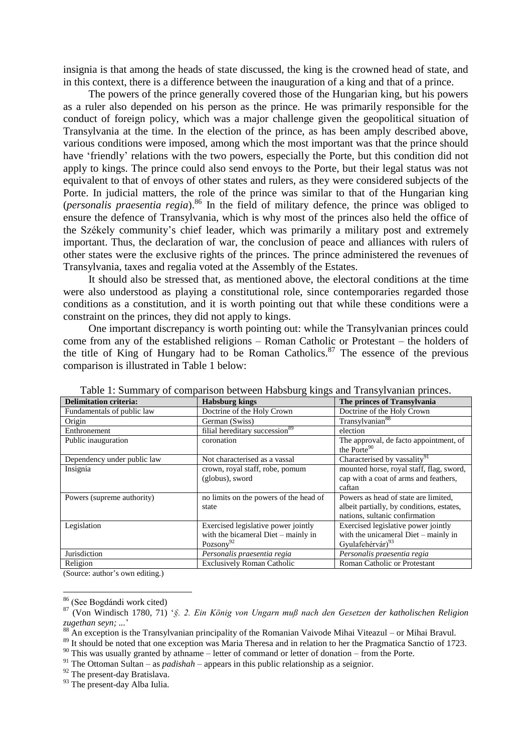insignia is that among the heads of state discussed, the king is the crowned head of state, and in this context, there is a difference between the inauguration of a king and that of a prince.

The powers of the prince generally covered those of the Hungarian king, but his powers as a ruler also depended on his person as the prince. He was primarily responsible for the conduct of foreign policy, which was a major challenge given the geopolitical situation of Transylvania at the time. In the election of the prince, as has been amply described above, various conditions were imposed, among which the most important was that the prince should have 'friendly' relations with the two powers, especially the Porte, but this condition did not apply to kings. The prince could also send envoys to the Porte, but their legal status was not equivalent to that of envoys of other states and rulers, as they were considered subjects of the Porte. In judicial matters, the role of the prince was similar to that of the Hungarian king (*personalis praesentia regia*).<sup>86</sup> In the field of military defence, the prince was obliged to ensure the defence of Transylvania, which is why most of the princes also held the office of the Székely community's chief leader, which was primarily a military post and extremely important. Thus, the declaration of war, the conclusion of peace and alliances with rulers of other states were the exclusive rights of the princes. The prince administered the revenues of Transylvania, taxes and regalia voted at the Assembly of the Estates.

It should also be stressed that, as mentioned above, the electoral conditions at the time were also understood as playing a constitutional role, since contemporaries regarded those conditions as a constitution, and it is worth pointing out that while these conditions were a constraint on the princes, they did not apply to kings.

One important discrepancy is worth pointing out: while the Transylvanian princes could come from any of the established religions – Roman Catholic or Protestant – the holders of the title of King of Hungary had to be Roman Catholics.<sup>87</sup> The essence of the previous comparison is illustrated in Table 1 below:

| racio il patitimi per comparison convoci riacsocare unico arano framan princes. |                                            |                                           |
|---------------------------------------------------------------------------------|--------------------------------------------|-------------------------------------------|
| <b>Delimitation criteria:</b>                                                   | <b>Habsburg kings</b>                      | The princes of Transylvania               |
| Fundamentals of public law                                                      | Doctrine of the Holy Crown                 | Doctrine of the Holy Crown                |
| Origin                                                                          | German (Swiss)                             | Transylvanian <sup>88</sup>               |
| Enthronement                                                                    | filial hereditary succession <sup>89</sup> | election                                  |
| Public inauguration                                                             | coronation                                 | The approval, de facto appointment, of    |
|                                                                                 |                                            | the Porte $90$                            |
| Dependency under public law                                                     | Not characterised as a vassal              | Characterised by vassality <sup>91</sup>  |
| Insignia                                                                        | crown, royal staff, robe, pomum            | mounted horse, royal staff, flag, sword,  |
|                                                                                 | (globus), sword                            | cap with a coat of arms and feathers,     |
|                                                                                 |                                            | caftan                                    |
| Powers (supreme authority)                                                      | no limits on the powers of the head of     | Powers as head of state are limited,      |
|                                                                                 | state                                      | albeit partially, by conditions, estates, |
|                                                                                 |                                            | nations, sultanic confirmation            |
| Legislation                                                                     | Exercised legislative power jointly        | Exercised legislative power jointly       |
|                                                                                 | with the bicameral Diet – mainly in        | with the unicameral Diet – mainly in      |
|                                                                                 | Pozson $v^{92}$                            | Gyulafehérvár) <sup>93</sup>              |
| Jurisdiction                                                                    | Personalis praesentia regia                | Personalis praesentia regia               |
| Religion                                                                        | <b>Exclusively Roman Catholic</b>          | Roman Catholic or Protestant              |

Table 1: Summary of comparison between Habsburg kings and Transylvanian princes.

(Source: author's own editing.)

<sup>86</sup> (See Bogdándi work cited)

<sup>87</sup> (Von Windisch 1780, 71) '*§. 2. Ein König von Ungarn muß nach den Gesetzen der katholischen Religion zugethan seyn; ...*'

<sup>88</sup> An exception is the Transylvanian principality of the Romanian Vaivode Mihai Viteazul – or Mihai Bravul.

<sup>&</sup>lt;sup>89</sup> It should be noted that one exception was Maria Theresa and in relation to her the Pragmatica Sanctio of 1723.

 $90$  This was usually granted by athname – letter of command or letter of donation – from the Porte.

<sup>91</sup> The Ottoman Sultan – as *padishah* – appears in this public relationship as a seignior.

<sup>&</sup>lt;sup>92</sup> The present-day Bratislava.

<sup>&</sup>lt;sup>93</sup> The present-day Alba Iulia.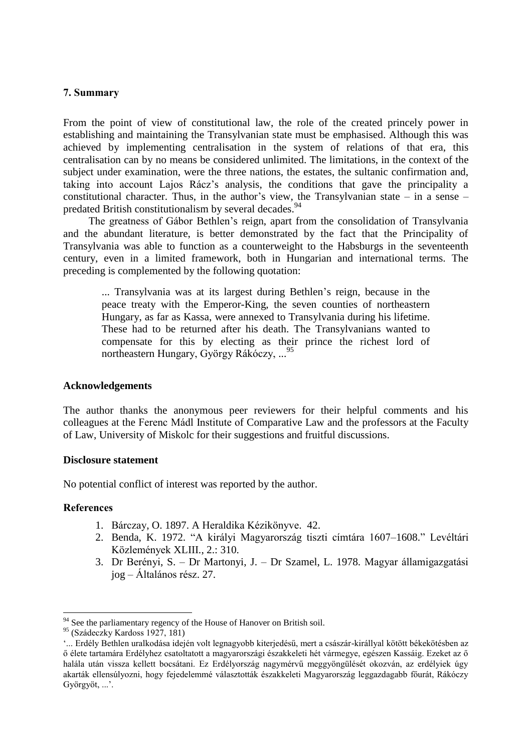# **7. Summary**

From the point of view of constitutional law, the role of the created princely power in establishing and maintaining the Transylvanian state must be emphasised. Although this was achieved by implementing centralisation in the system of relations of that era, this centralisation can by no means be considered unlimited. The limitations, in the context of the subject under examination, were the three nations, the estates, the sultanic confirmation and, taking into account Lajos Rácz's analysis, the conditions that gave the principality a constitutional character. Thus, in the author's view, the Transylvanian state – in a sense – predated British constitutionalism by several decades.<sup>94</sup>

The greatness of Gábor Bethlen's reign, apart from the consolidation of Transylvania and the abundant literature, is better demonstrated by the fact that the Principality of Transylvania was able to function as a counterweight to the Habsburgs in the seventeenth century, even in a limited framework, both in Hungarian and international terms. The preceding is complemented by the following quotation:

... Transylvania was at its largest during Bethlen's reign, because in the peace treaty with the Emperor-King, the seven counties of northeastern Hungary, as far as Kassa, were annexed to Transylvania during his lifetime. These had to be returned after his death. The Transylvanians wanted to compensate for this by electing as their prince the richest lord of northeastern Hungary, György Rákóczy, ... 95

### **Acknowledgements**

The author thanks the anonymous peer reviewers for their helpful comments and his colleagues at the Ferenc Mádl Institute of Comparative Law and the professors at the Faculty of Law, University of Miskolc for their suggestions and fruitful discussions.

### **Disclosure statement**

No potential conflict of interest was reported by the author.

#### **References**

- 1. Bárczay, O. 1897. A Heraldika Kézikönyve. 42.
- 2. Benda, K. 1972. "A királyi Magyarország tiszti címtára 1607–1608." Levéltári Közlemények XLIII., 2.: 310.
- 3. Dr Berényi, S. Dr Martonyi, J. Dr Szamel, L. 1978. Magyar államigazgatási jog – Általános rész. 27.

 $94$  See the parliamentary regency of the House of Hanover on British soil.

<sup>95</sup> (Szádeczky Kardoss 1927, 181)

<sup>&#</sup>x27;... Erdély Bethlen uralkodása idején volt legnagyobb kiterjedésű, mert a császár-királlyal kötött békekötésben az ő élete tartamára Erdélyhez csatoltatott a magyarországi északkeleti hét vármegye, egészen Kassáig. Ezeket az ő halála után vissza kellett bocsátani. Ez Erdélyország nagymérvű meggyöngülését okozván, az erdélyiek úgy akarták ellensúlyozni, hogy fejedelemmé választották északkeleti Magyarország leggazdagabb főurát, Rákóczy Györgyöt, ...'.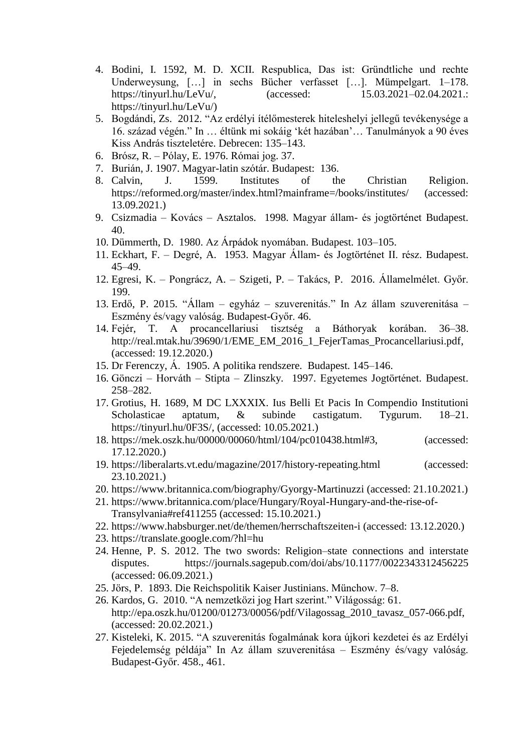- 4. Bodini, I. 1592, M. D. XCII. Respublica, Das ist: Gründtliche und rechte Underweysung, […] in sechs Bücher verfasset […]. Mümpelgart. 1–178. https://tinyurl.hu/LeVu/, (accessed: 15.03.2021–02.04.2021.: https://tinyurl.hu/LeVu/)
- 5. Bogdándi, Zs. 2012. "Az erdélyi ítélőmesterek hiteleshelyi jellegű tevékenysége a 16. század végén." In … éltünk mi sokáig 'két hazában'… Tanulmányok a 90 éves Kiss András tiszteletére. Debrecen: 135–143.
- 6. Brósz, R. Pólay, E. 1976. Római jog. 37.
- 7. Burián, J. 1907. Magyar-latin szótár. Budapest: 136.
- 8. Calvin, J. 1599. Institutes of the Christian Religion. https://reformed.org/master/index.html?mainframe=/books/institutes/ (accessed: 13.09.2021.)
- 9. Csizmadia Kovács Asztalos. 1998. Magyar állam- és jogtörténet Budapest. 40.
- 10. Dümmerth, D. 1980. Az Árpádok nyomában. Budapest. 103–105.
- 11. Eckhart, F. Degré, A. 1953. Magyar Állam- és Jogtörténet II. rész. Budapest. 45–49.
- 12. Egresi, K. Pongrácz, A. Szigeti, P. Takács, P. 2016. Államelmélet. Győr. 199.
- 13. Erdő, P. 2015. "Állam egyház szuverenitás." In Az állam szuverenitása Eszmény és/vagy valóság. Budapest-Győr. 46.
- 14. Fejér, T. A procancellariusi tisztség a Báthoryak korában. 36–38. [http://real.mtak.hu/39690/1/EME\\_EM\\_2016\\_1\\_FejerTamas\\_Procancellariusi.pdf,](http://real.mtak.hu/39690/1/EME_EM_2016_1_FejerTamas_Procancellariusi.pdf) (accessed: 19.12.2020.)
- 15. Dr Ferenczy, Á. 1905. A politika rendszere. Budapest. 145–146.
- 16. Gönczi Horváth Stipta Zlinszky. 1997. Egyetemes Jogtörténet. Budapest. 258–282.
- 17. Grotius, H. 1689, M DC LXXXIX. Ius Belli Et Pacis In Compendio Institutioni Scholasticae aptatum, & subinde castigatum. Tygurum. 18–21. https://tinyurl.hu/0F3S/, (accessed: 10.05.2021.)
- 18. https://mek.oszk.hu/00000/00060/html/104/pc010438.html#3, (accessed: 17.12.2020.)
- 19. https://liberalarts.vt.edu/magazine/2017/history-repeating.html (accessed: 23.10.2021.)
- 20. https://www.britannica.com/biography/Gyorgy-Martinuzzi (accessed: 21.10.2021.)
- 21. https://www.britannica.com/place/Hungary/Royal-Hungary-and-the-rise-of-Transylvania#ref411255 (accessed: 15.10.2021.)
- 22. https://www.habsburger.net/de/themen/herrschaftszeiten-i (accessed: 13.12.2020.)
- 23. https://translate.google.com/?hl=hu
- 24. Henne, P. S. 2012. The two swords: Religion–state connections and interstate disputes. https://journals.sagepub.com/doi/abs/10.1177/0022343312456225 (accessed: 06.09.2021.)
- 25. Jörs, P. 1893. Die Reichspolitik Kaiser Justinians. Münchow. 7–8.
- 26. Kardos, G. 2010. "A nemzetközi jog Hart szerint." Világosság: 61. http://epa.oszk.hu/01200/01273/00056/pdf/Vilagossag\_2010\_tavasz\_057-066.pdf, (accessed: 20.02.2021.)
- 27. Kisteleki, K. 2015. "A szuverenitás fogalmának kora újkori kezdetei és az Erdélyi Fejedelemség példája" In Az állam szuverenitása – Eszmény és/vagy valóság. Budapest-Győr. 458., 461.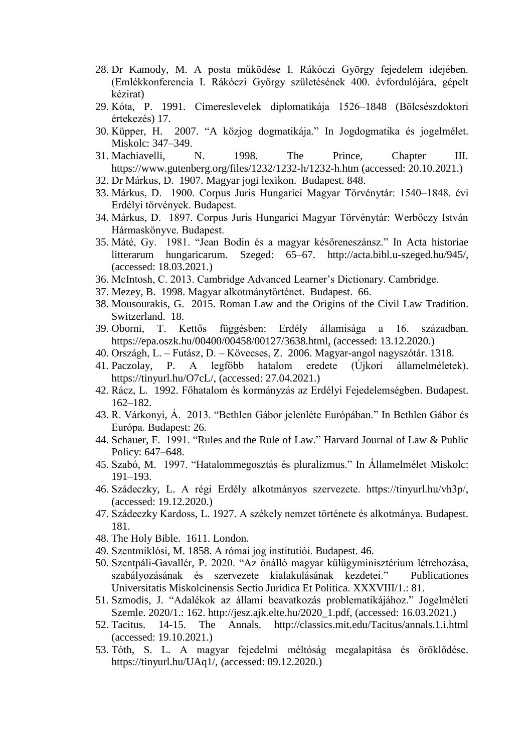- 28. Dr Kamody, M. A posta működése I. Rákóczi György fejedelem idejében. (Emlékkonferencia I. Rákóczi György születésének 400. évfordulójára, gépelt kézirat)
- 29. Kóta, P. 1991. Címereslevelek diplomatikája 1526–1848 (Bölcsészdoktori értekezés) 17.
- 30. Küpper, H. 2007. "A közjog dogmatikája." In Jogdogmatika és jogelmélet. Miskolc: 347–349.
- 31. Machiavelli, N. 1998. The Prince, Chapter III. https://www.gutenberg.org/files/1232/1232-h/1232-h.htm (accessed: 20.10.2021.)
- 32. Dr Márkus, D. 1907. Magyar jogi lexikon. Budapest. 848.
- 33. Márkus, D. 1900. Corpus Juris Hungarici Magyar Törvénytár: 1540–1848. évi Erdélyi törvények. Budapest.
- 34. Márkus, D. 1897. Corpus Juris Hungarici Magyar Törvénytár: Werbőczy István Hármaskönyve. Budapest.
- 35. Máté, Gy. 1981. "Jean Bodin és a magyar későreneszánsz." In Acta historiae litterarum hungaricarum. Szeged: 65–67. http://acta.bibl.u-szeged.hu/945/, (accessed: 18.03.2021.)
- 36. McIntosh, C. 2013. Cambridge Advanced Learner's Dictionary. Cambridge.
- 37. Mezey, B. 1998. Magyar alkotmánytörténet. Budapest. 66.
- 38. Mousourakis, G. 2015. Roman Law and the Origins of the Civil Law Tradition. Switzerland. 18.
- 39. Oborni, T. Kettős függésben: Erdély államisága a 16. században. https://epa.oszk.hu/00400/00458/00127/3638.html, (accessed: 13.12.2020.)
- 40. Országh, L. Futász, D. Kövecses, Z. 2006. Magyar-angol nagyszótár. 1318.
- 41. Paczolay, P. A legfőbb hatalom eredete (Újkori államelméletek). https://tinyurl.hu/O7cL/, (accessed: 27.04.2021.)
- 42. Rácz, L. 1992. Főhatalom és kormányzás az Erdélyi Fejedelemségben. Budapest. 162–182.
- 43. R. Várkonyi, Á. 2013. "Bethlen Gábor jelenléte Európában." In Bethlen Gábor és Európa. Budapest: 26.
- 44. Schauer, F. 1991. "Rules and the Rule of Law." Harvard Journal of Law & Public Policy: 647–648.
- 45. Szabó, M. 1997. "Hatalommegosztás és pluralizmus." In Államelmélet Miskolc: 191–193.
- 46. Szádeczky, L. A régi Erdély alkotmányos szervezete. https://tinyurl.hu/vh3p/, (accessed: 19.12.2020.)
- 47. Szádeczky Kardoss, L. 1927. A székely nemzet története és alkotmánya. Budapest. 181.
- 48. The Holy Bible. 1611. London.
- 49. Szentmiklósi, M. 1858. A római jog institutiói. Budapest. 46.
- 50. Szentpáli-Gavallér, P. 2020. "Az önálló magyar külügyminisztérium létrehozása, szabályozásának és szervezete kialakulásának kezdetei." Publicationes Universitatis Miskolcinensis Sectio Juridica Et Politica. XXXVIII/1.: 81.
- 51. Szmodis, J. "Adalékok az állami beavatkozás problematikájához." Jogelméleti Szemle. 2020/1.: 162. http://jesz.ajk.elte.hu/2020\_1.pdf, (accessed: 16.03.2021.)
- 52. Tacitus. 14-15. The Annals. http://classics.mit.edu/Tacitus/annals.1.i.html (accessed: 19.10.2021.)
- 53. Tóth, S. L. A magyar fejedelmi méltóság megalapítása és öröklődése. https://tinyurl.hu/UAq1/, (accessed: 09.12.2020.)